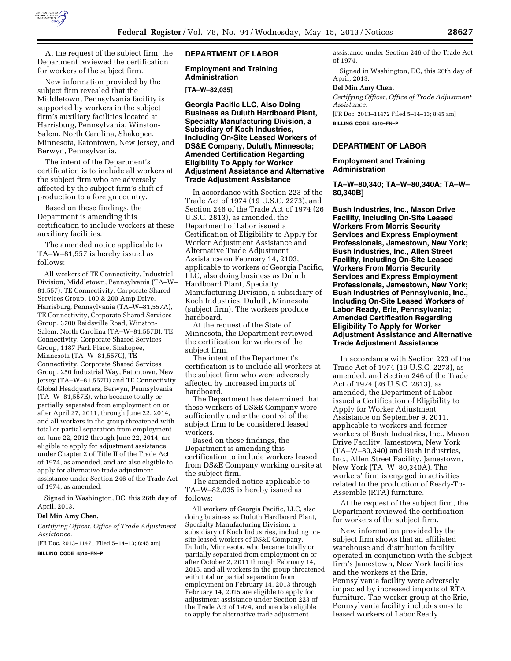

At the request of the subject firm, the Department reviewed the certification for workers of the subject firm.

New information provided by the subject firm revealed that the Middletown, Pennsylvania facility is supported by workers in the subject firm's auxiliary facilities located at Harrisburg, Pennsylvania, Winston-Salem, North Carolina, Shakopee, Minnesota, Eatontown, New Jersey, and Berwyn, Pennsylvania.

The intent of the Department's certification is to include all workers at the subject firm who are adversely affected by the subject firm's shift of production to a foreign country.

Based on these findings, the Department is amending this certification to include workers at these auxiliary facilities.

The amended notice applicable to TA–W–81,557 is hereby issued as follows:

All workers of TE Connectivity, Industrial Division, Middletown, Pennsylvania (TA–W– 81,557), TE Connectivity, Corporate Shared Services Group, 100 & 200 Amp Drive, Harrisburg, Pennsylvania (TA–W–81,557A), TE Connectivity, Corporate Shared Services Group, 3700 Reidsville Road, Winston-Salem, North Carolina (TA–W–81,557B), TE Connectivity, Corporate Shared Services Group, 1187 Park Place, Shakopee, Minnesota (TA–W–81,557C), TE Connectivity, Corporate Shared Services Group, 250 Industrial Way, Eatontown, New Jersey (TA–W–81,557D) and TE Connectivity, Global Headquarters, Berwyn, Pennsylvania (TA–W–81,557E), who became totally or partially separated from employment on or after April 27, 2011, through June 22, 2014, and all workers in the group threatened with total or partial separation from employment on June 22, 2012 through June 22, 2014, are eligible to apply for adjustment assistance under Chapter 2 of Title II of the Trade Act of 1974, as amended, and are also eligible to apply for alternative trade adjustment assistance under Section 246 of the Trade Act of 1974, as amended.

Signed in Washington, DC, this 26th day of April, 2013.

#### **Del Min Amy Chen,**

*Certifying Officer, Office of Trade Adjustment Assistance.* 

[FR Doc. 2013–11471 Filed 5–14–13; 8:45 am]

**BILLING CODE 4510–FN–P** 

# **DEPARTMENT OF LABOR**

### **Employment and Training Administration**

**[TA–W–82,035]** 

**Georgia Pacific LLC, Also Doing Business as Duluth Hardboard Plant, Specialty Manufacturing Division, a Subsidiary of Koch Industries, Including On-Site Leased Workers of DS&E Company, Duluth, Minnesota; Amended Certification Regarding Eligibility To Apply for Worker Adjustment Assistance and Alternative Trade Adjustment Assistance** 

In accordance with Section 223 of the Trade Act of 1974 (19 U.S.C. 2273), and Section 246 of the Trade Act of 1974 (26 U.S.C. 2813), as amended, the Department of Labor issued a Certification of Eligibility to Apply for Worker Adjustment Assistance and Alternative Trade Adjustment Assistance on February 14, 2103, applicable to workers of Georgia Pacific, LLC, also doing business as Duluth Hardboard Plant, Specialty Manufacturing Division, a subsidiary of Koch Industries, Duluth, Minnesota (subject firm). The workers produce hardboard.

At the request of the State of Minnesota, the Department reviewed the certification for workers of the subject firm.

The intent of the Department's certification is to include all workers at the subject firm who were adversely affected by increased imports of hardboard.

The Department has determined that these workers of DS&E Company were sufficiently under the control of the subject firm to be considered leased workers.

Based on these findings, the Department is amending this certification to include workers leased from DS&E Company working on-site at the subject firm.

The amended notice applicable to TA–W–82,035 is hereby issued as follows:

All workers of Georgia Pacific, LLC, also doing business as Duluth Hardboard Plant, Specialty Manufacturing Division, a subsidiary of Koch Industries, including onsite leased workers of DS&E Company, Duluth, Minnesota, who became totally or partially separated from employment on or after October 2, 2011 through February 14, 2015, and all workers in the group threatened with total or partial separation from employment on February 14, 2013 through February 14, 2015 are eligible to apply for adjustment assistance under Section 223 of the Trade Act of 1974, and are also eligible to apply for alternative trade adjustment

assistance under Section 246 of the Trade Act of 1974.

Signed in Washington, DC, this 26th day of April, 2013.

### **Del Min Amy Chen,**

*Certifying Officer, Office of Trade Adjustment Assistance.* 

[FR Doc. 2013–11472 Filed 5–14–13; 8:45 am] **BILLING CODE 4510–FN–P** 

### **DEPARTMENT OF LABOR**

### **Employment and Training Administration**

**TA–W–80,340; TA–W–80,340A; TA–W– 80,340B]** 

**Bush Industries, Inc., Mason Drive Facility, Including On-Site Leased Workers From Morris Security Services and Express Employment Professionals, Jamestown, New York; Bush Industries, Inc., Allen Street Facility, Including On-Site Leased Workers From Morris Security Services and Express Employment Professionals, Jamestown, New York; Bush Industries of Pennsylvania, Inc., Including On-Site Leased Workers of Labor Ready, Erie, Pennsylvania; Amended Certification Regarding Eligibility To Apply for Worker Adjustment Assistance and Alternative Trade Adjustment Assistance** 

In accordance with Section 223 of the Trade Act of 1974 (19 U.S.C. 2273), as amended, and Section 246 of the Trade Act of 1974 (26 U.S.C. 2813), as amended, the Department of Labor issued a Certification of Eligibility to Apply for Worker Adjustment Assistance on September 9, 2011, applicable to workers and former workers of Bush Industries, Inc., Mason Drive Facility, Jamestown, New York (TA–W–80,340) and Bush Industries, Inc., Allen Street Facility, Jamestown, New York (TA–W–80,340A). The workers' firm is engaged in activities related to the production of Ready-To-Assemble (RTA) furniture.

At the request of the subject firm, the Department reviewed the certification for workers of the subject firm.

New information provided by the subject firm shows that an affiliated warehouse and distribution facility operated in conjunction with the subject firm's Jamestown, New York facilities and the workers at the Erie, Pennsylvania facility were adversely impacted by increased imports of RTA furniture. The worker group at the Erie, Pennsylvania facility includes on-site leased workers of Labor Ready.